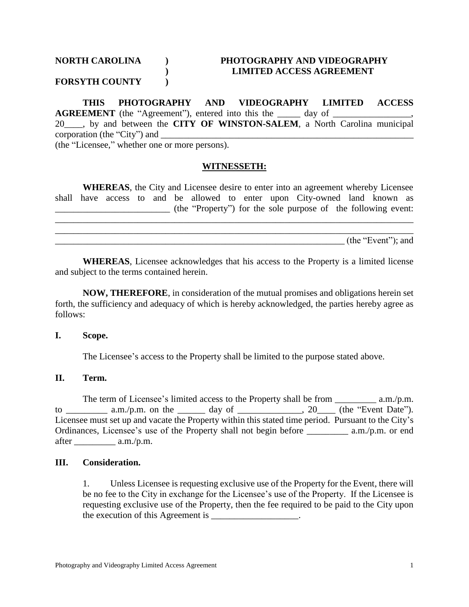# **NORTH CAROLINA ) PHOTOGRAPHY AND VIDEOGRAPHY ) LIMITED ACCESS AGREEMENT**

## **FORSYTH COUNTY )**

**THIS PHOTOGRAPHY AND VIDEOGRAPHY LIMITED ACCESS AGREEMENT** (the "Agreement"), entered into this the day of 20\_\_\_\_, by and between the **CITY OF WINSTON-SALEM**, a North Carolina municipal corporation (the "City") and \_\_\_\_\_\_\_\_\_\_\_\_\_\_\_\_\_\_\_\_\_\_\_\_\_\_\_\_\_\_\_\_\_\_\_\_\_\_\_\_\_\_\_\_\_\_\_\_\_\_\_\_\_\_\_ (the "Licensee," whether one or more persons).

#### **WITNESSETH:**

**WHEREAS**, the City and Licensee desire to enter into an agreement whereby Licensee shall have access to and be allowed to enter upon City-owned land known as  $($ the "Property") for the sole purpose of the following event: \_\_\_\_\_\_\_\_\_\_\_\_\_\_\_\_\_\_\_\_\_\_\_\_\_\_\_\_\_\_\_\_\_\_\_\_\_\_\_\_\_\_\_\_\_\_\_\_\_\_\_\_\_\_\_\_\_\_\_\_\_\_\_\_\_\_\_\_\_\_\_\_\_\_\_\_\_\_

\_\_\_\_\_\_\_\_\_\_\_\_\_\_\_\_\_\_\_\_\_\_\_\_\_\_\_\_\_\_\_\_\_\_\_\_\_\_\_\_\_\_\_\_\_\_\_\_\_\_\_\_\_\_\_\_\_\_\_\_\_\_\_\_\_\_\_\_\_\_\_\_\_\_\_\_\_\_

 $(\text{the "Event"});$  and

**WHEREAS**, Licensee acknowledges that his access to the Property is a limited license and subject to the terms contained herein.

**NOW, THEREFORE**, in consideration of the mutual promises and obligations herein set forth, the sufficiency and adequacy of which is hereby acknowledged, the parties hereby agree as follows:

#### **I. Scope.**

The Licensee's access to the Property shall be limited to the purpose stated above.

#### **II. Term.**

The term of Licensee's limited access to the Property shall be from  $a.m./p.m.$ to \_\_\_\_\_\_\_\_\_\_ a.m./p.m. on the \_\_\_\_\_\_\_ day of \_\_\_\_\_\_\_\_\_\_\_\_\_\_, 20\_\_\_\_ (the "Event Date"). Licensee must set up and vacate the Property within this stated time period. Pursuant to the City's Ordinances, Licensee's use of the Property shall not begin before a.m./p.m. or end after \_\_\_\_\_\_\_\_\_ a.m./p.m.

#### **III. Consideration.**

1. Unless Licensee is requesting exclusive use of the Property for the Event, there will be no fee to the City in exchange for the Licensee's use of the Property. If the Licensee is requesting exclusive use of the Property, then the fee required to be paid to the City upon the execution of this Agreement is \_\_\_\_\_\_\_\_\_\_\_\_\_\_\_.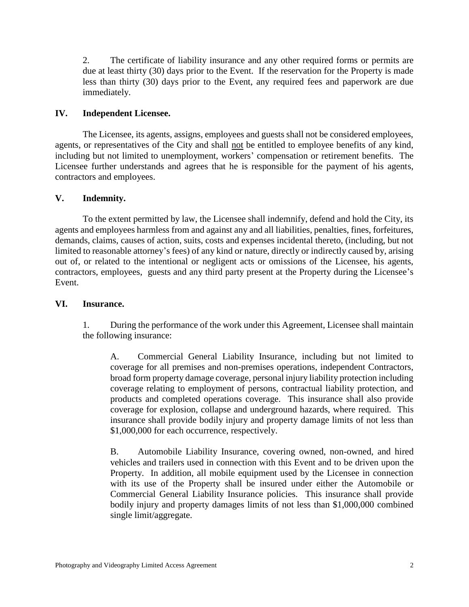2. The certificate of liability insurance and any other required forms or permits are due at least thirty (30) days prior to the Event. If the reservation for the Property is made less than thirty (30) days prior to the Event, any required fees and paperwork are due immediately.

## **IV. Independent Licensee.**

The Licensee, its agents, assigns, employees and guests shall not be considered employees, agents, or representatives of the City and shall not be entitled to employee benefits of any kind, including but not limited to unemployment, workers' compensation or retirement benefits. The Licensee further understands and agrees that he is responsible for the payment of his agents, contractors and employees.

### **V. Indemnity.**

To the extent permitted by law, the Licensee shall indemnify, defend and hold the City, its agents and employees harmless from and against any and all liabilities, penalties, fines, forfeitures, demands, claims, causes of action, suits, costs and expenses incidental thereto, (including, but not limited to reasonable attorney's fees) of any kind or nature, directly or indirectly caused by, arising out of, or related to the intentional or negligent acts or omissions of the Licensee, his agents, contractors, employees, guests and any third party present at the Property during the Licensee's Event.

### **VI. Insurance.**

1. During the performance of the work under this Agreement, Licensee shall maintain the following insurance:

A. Commercial General Liability Insurance, including but not limited to coverage for all premises and non-premises operations, independent Contractors, broad form property damage coverage, personal injury liability protection including coverage relating to employment of persons, contractual liability protection, and products and completed operations coverage. This insurance shall also provide coverage for explosion, collapse and underground hazards, where required. This insurance shall provide bodily injury and property damage limits of not less than \$1,000,000 for each occurrence, respectively.

B. Automobile Liability Insurance, covering owned, non-owned, and hired vehicles and trailers used in connection with this Event and to be driven upon the Property. In addition, all mobile equipment used by the Licensee in connection with its use of the Property shall be insured under either the Automobile or Commercial General Liability Insurance policies. This insurance shall provide bodily injury and property damages limits of not less than \$1,000,000 combined single limit/aggregate.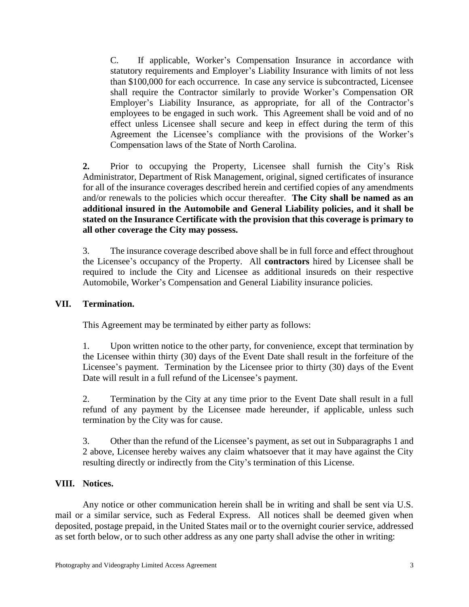C. If applicable, Worker's Compensation Insurance in accordance with statutory requirements and Employer's Liability Insurance with limits of not less than \$100,000 for each occurrence. In case any service is subcontracted, Licensee shall require the Contractor similarly to provide Worker's Compensation OR Employer's Liability Insurance, as appropriate, for all of the Contractor's employees to be engaged in such work. This Agreement shall be void and of no effect unless Licensee shall secure and keep in effect during the term of this Agreement the Licensee's compliance with the provisions of the Worker's Compensation laws of the State of North Carolina.

**2.** Prior to occupying the Property, Licensee shall furnish the City's Risk Administrator, Department of Risk Management, original, signed certificates of insurance for all of the insurance coverages described herein and certified copies of any amendments and/or renewals to the policies which occur thereafter. **The City shall be named as an additional insured in the Automobile and General Liability policies, and it shall be stated on the Insurance Certificate with the provision that this coverage is primary to all other coverage the City may possess.**

3. The insurance coverage described above shall be in full force and effect throughout the Licensee's occupancy of the Property. All **contractors** hired by Licensee shall be required to include the City and Licensee as additional insureds on their respective Automobile, Worker's Compensation and General Liability insurance policies.

## **VII. Termination.**

This Agreement may be terminated by either party as follows:

1. Upon written notice to the other party, for convenience, except that termination by the Licensee within thirty (30) days of the Event Date shall result in the forfeiture of the Licensee's payment. Termination by the Licensee prior to thirty (30) days of the Event Date will result in a full refund of the Licensee's payment.

2. Termination by the City at any time prior to the Event Date shall result in a full refund of any payment by the Licensee made hereunder, if applicable, unless such termination by the City was for cause.

3. Other than the refund of the Licensee's payment, as set out in Subparagraphs 1 and 2 above, Licensee hereby waives any claim whatsoever that it may have against the City resulting directly or indirectly from the City's termination of this License.

### **VIII. Notices.**

Any notice or other communication herein shall be in writing and shall be sent via U.S. mail or a similar service, such as Federal Express. All notices shall be deemed given when deposited, postage prepaid, in the United States mail or to the overnight courier service, addressed as set forth below, or to such other address as any one party shall advise the other in writing: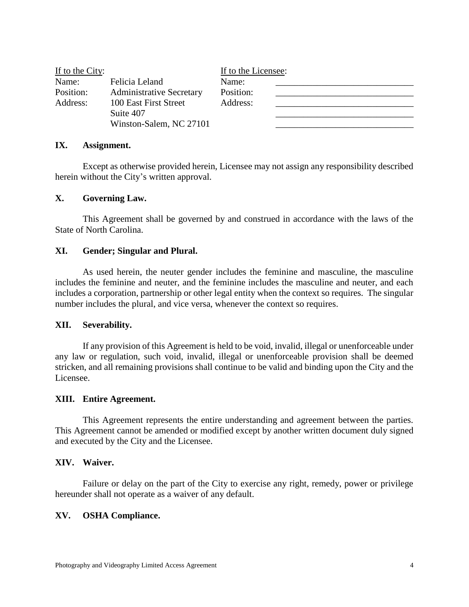| If to the City: |                                 | If to the Licensee: |  |
|-----------------|---------------------------------|---------------------|--|
| Name:           | Felicia Leland                  | Name:               |  |
| Position:       | <b>Administrative Secretary</b> | Position:           |  |
| Address:        | 100 East First Street           | Address:            |  |
|                 | Suite 407                       |                     |  |
|                 | Winston-Salem, NC 27101         |                     |  |

#### **IX. Assignment.**

Except as otherwise provided herein, Licensee may not assign any responsibility described herein without the City's written approval.

#### **X. Governing Law.**

This Agreement shall be governed by and construed in accordance with the laws of the State of North Carolina.

#### **XI. Gender; Singular and Plural.**

As used herein, the neuter gender includes the feminine and masculine, the masculine includes the feminine and neuter, and the feminine includes the masculine and neuter, and each includes a corporation, partnership or other legal entity when the context so requires. The singular number includes the plural, and vice versa, whenever the context so requires.

#### **XII. Severability.**

If any provision of this Agreement is held to be void, invalid, illegal or unenforceable under any law or regulation, such void, invalid, illegal or unenforceable provision shall be deemed stricken, and all remaining provisions shall continue to be valid and binding upon the City and the Licensee.

#### **XIII. Entire Agreement.**

This Agreement represents the entire understanding and agreement between the parties. This Agreement cannot be amended or modified except by another written document duly signed and executed by the City and the Licensee.

#### **XIV. Waiver.**

Failure or delay on the part of the City to exercise any right, remedy, power or privilege hereunder shall not operate as a waiver of any default.

#### **XV. OSHA Compliance.**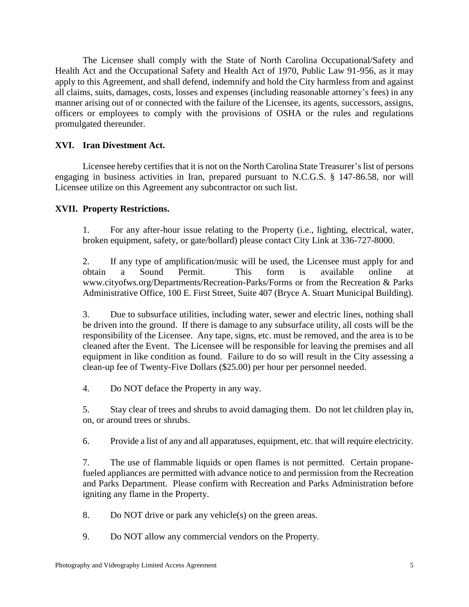The Licensee shall comply with the State of North Carolina Occupational/Safety and Health Act and the Occupational Safety and Health Act of 1970, Public Law 91-956, as it may apply to this Agreement, and shall defend, indemnify and hold the City harmless from and against all claims, suits, damages, costs, losses and expenses (including reasonable attorney's fees) in any manner arising out of or connected with the failure of the Licensee, its agents, successors, assigns, officers or employees to comply with the provisions of OSHA or the rules and regulations promulgated thereunder.

## **XVI. Iran Divestment Act.**

Licensee hereby certifies that it is not on the North Carolina State Treasurer's list of persons engaging in business activities in Iran, prepared pursuant to N.C.G.S. § 147-86.58, nor will Licensee utilize on this Agreement any subcontractor on such list.

### **XVII. Property Restrictions.**

1. For any after-hour issue relating to the Property (i.e., lighting, electrical, water, broken equipment, safety, or gate/bollard) please contact City Link at 336-727-8000.

2. If any type of amplification/music will be used, the Licensee must apply for and obtain a Sound Permit. This form is available online at www.cityofws.org/Departments/Recreation-Parks/Forms or from the Recreation & Parks Administrative Office, 100 E. First Street, Suite 407 (Bryce A. Stuart Municipal Building).

3. Due to subsurface utilities, including water, sewer and electric lines, nothing shall be driven into the ground. If there is damage to any subsurface utility, all costs will be the responsibility of the Licensee. Any tape, signs, etc. must be removed, and the area is to be cleaned after the Event. The Licensee will be responsible for leaving the premises and all equipment in like condition as found. Failure to do so will result in the City assessing a clean-up fee of Twenty-Five Dollars (\$25.00) per hour per personnel needed.

4. Do NOT deface the Property in any way.

5. Stay clear of trees and shrubs to avoid damaging them. Do not let children play in, on, or around trees or shrubs.

6. Provide a list of any and all apparatuses, equipment, etc. that will require electricity.

7. The use of flammable liquids or open flames is not permitted. Certain propanefueled appliances are permitted with advance notice to and permission from the Recreation and Parks Department. Please confirm with Recreation and Parks Administration before igniting any flame in the Property.

8. Do NOT drive or park any vehicle(s) on the green areas.

9. Do NOT allow any commercial vendors on the Property.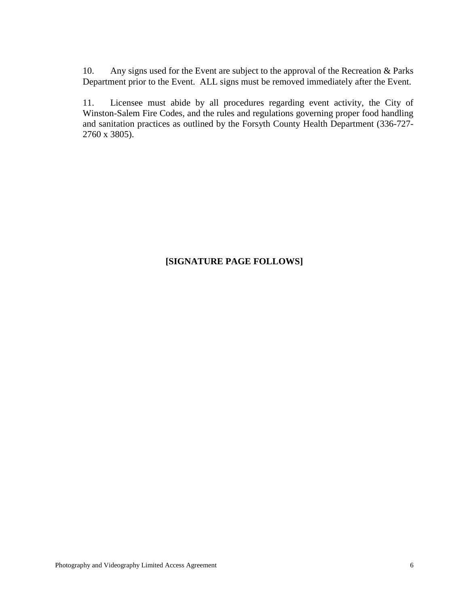10. Any signs used for the Event are subject to the approval of the Recreation & Parks Department prior to the Event. ALL signs must be removed immediately after the Event.

11. Licensee must abide by all procedures regarding event activity, the City of Winston-Salem Fire Codes, and the rules and regulations governing proper food handling and sanitation practices as outlined by the Forsyth County Health Department (336-727- 2760 x 3805).

## **[SIGNATURE PAGE FOLLOWS]**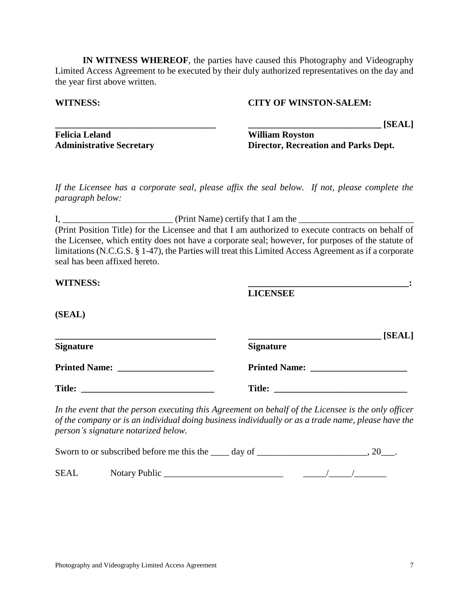**IN WITNESS WHEREOF**, the parties have caused this Photography and Videography Limited Access Agreement to be executed by their duly authorized representatives on the day and the year first above written.

### **WITNESS: CITY OF WINSTON-SALEM:**

**\_\_\_\_\_\_\_\_\_\_\_\_\_\_\_\_\_\_\_\_\_\_\_\_\_\_\_\_\_\_\_\_\_\_\_ \_\_\_\_\_\_\_\_\_\_\_\_\_\_\_\_\_\_\_\_\_\_\_\_\_\_\_\_\_ [SEAL]**

**WITNESS: \_\_\_\_\_\_\_\_\_\_\_\_\_\_\_\_\_\_\_\_\_\_\_\_\_\_\_\_\_\_\_\_\_\_\_:**

**Felicia Leland William Royston**

**Administrative Secretary Director, Recreation and Parks Dept.**

*If the Licensee has a corporate seal, please affix the seal below. If not, please complete the paragraph below:*

 $I, \_\_\_\_\_\_\_\_$  (Print Name) certify that I am the  $\_\_\_\_\_\_\_\_$ (Print Position Title) for the Licensee and that I am authorized to execute contracts on behalf of the Licensee, which entity does not have a corporate seal; however, for purposes of the statute of limitations (N.C.G.S. § 1-47), the Parties will treat this Limited Access Agreement as if a corporate seal has been affixed hereto.

| <b>WITNESS:</b> |  |
|-----------------|--|
|-----------------|--|

**LICENSEE**

### **(SEAL)**

|                      | [SEAL]               |
|----------------------|----------------------|
| <b>Signature</b>     | <b>Signature</b>     |
| <b>Printed Name:</b> | <b>Printed Name:</b> |
| <b>Title:</b>        | <b>Title:</b>        |

*In the event that the person executing this Agreement on behalf of the Licensee is the only officer of the company or is an individual doing business individually or as a trade name, please have the person's signature notarized below.*

|             | Sworn to or subscribed before me this the day of |  |  |  |  |  |
|-------------|--------------------------------------------------|--|--|--|--|--|
| <b>SEAL</b> | Notary Public                                    |  |  |  |  |  |